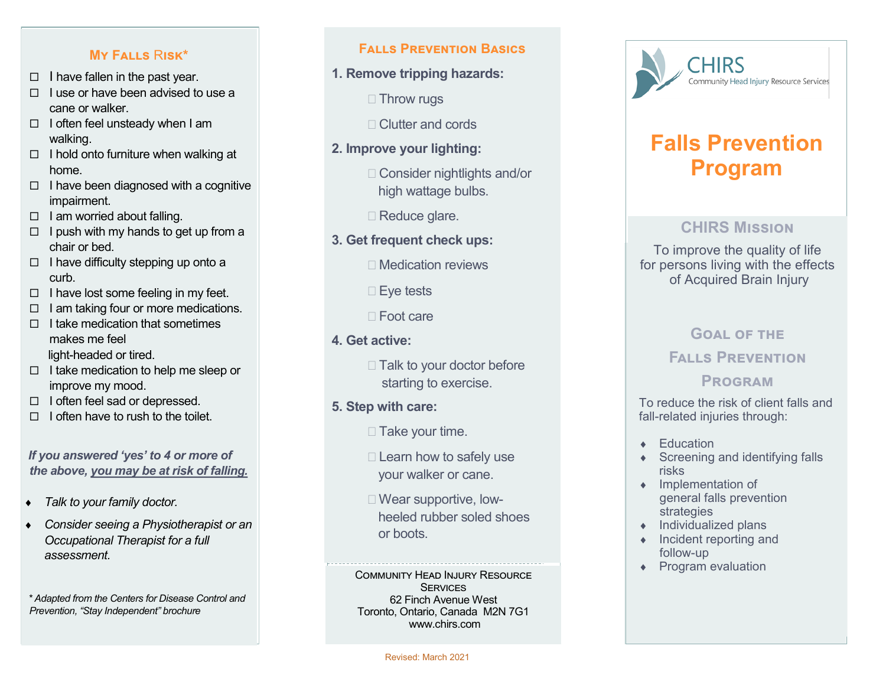### **My Falls**  R**isk\***

- $\Box$  I have fallen in the past year.
- $\Box$  I use or have been advised to use a cane or walker.
- $\Box$  I often feel unsteady when I am walking.
- $\Box$  I hold onto furniture when walking at home.
- $\Box$  I have been diagnosed with a cognitive impairment.
- $\Box$  I am worried about falling.
- $\Box$  I push with my hands to get up from a chair or bed.
- $\Box$  I have difficulty stepping up onto a curb.
- $\Box$  I have lost some feeling in my feet.
- $\Box$  I am taking four or more medications.
- $\Box$  I take medication that sometimes makes me feel light -headed or tired.
- $\Box$  I take medication to help me sleep or improve my mood.
- $\Box$  I often feel sad or depressed.
- $\Box$  I often have to rush to the toilet.

### *If you answered 'yes' to 4 or more of the above, you may be at risk of falling.*

- *Talk to your family doctor.*
- *Consider seeing a Physiotherapist or an Occupational Therapist for a full assessment.*
- *\* Adapted from the Centers for Disease Control and Prevention, "Stay Independent" brochure*

### **Falls Prevention Basics**

- **1. Remove tripping hazards:**
	- □ Throw rugs
	- □ Clutter and cords
- **2. Improve your lighting:**
	- □ Consider nightlights and/or high wattage bulbs.
	- □ Reduce glare.
- **3. Get frequent check ups:**
	- □ Medication reviews
	- □ Eye tests
	- Foot care
- **4. Get active:**
	- $\Box$  Talk to your doctor before starting to exercise.
- **5. Step with care:**
	- $\Box$  Take your time.
	- $\Box$  Learn how to safely use your walker or cane.
	- □ Wear supportive, low heeled rubber soled shoes or boots.

Community Head Injury Resource **SERVICES** 62 Finch Avenue West Toronto, Ontario, Canada M2N 7G1 www.chirs.com



# **Falls Prevention Program**

### **CHIRS Mission**

To improve the quality of life for persons living with the effects of Acquired Brain Injury

## **GOAL OF THE**

# **Falls Prevention**

# **Program**

To reduce the risk of client falls and fall -related injuries through:

- **+** Education
- ◆ Screening and identifying falls risks
- Implementation of general falls prevention strategies
- $\bullet$  Individualized plans
- $\bullet$  Incident reporting and follow -up
- ◆ Program evaluation